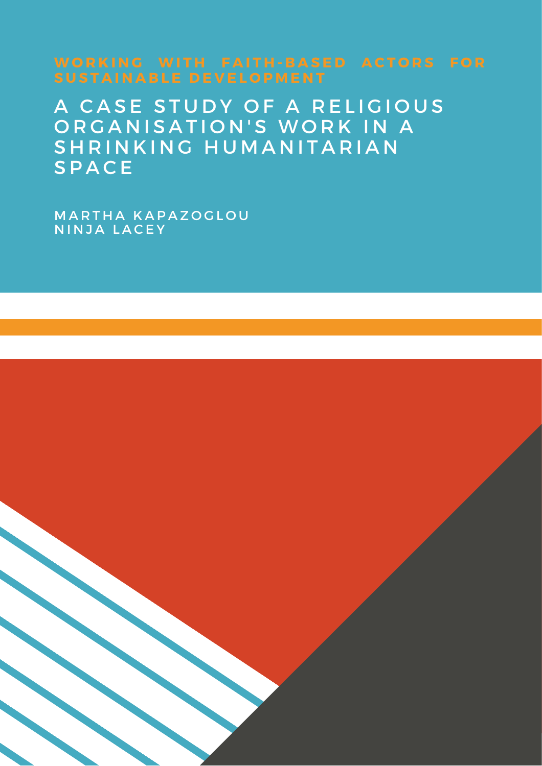A CASE STUDY OF A RELIGIOUS ORGANISATION'S WORK IN A SHRINKING HUMANITARIAN **SPACE** 

MARTHA KAPAZOGLOU NINJA LACEY

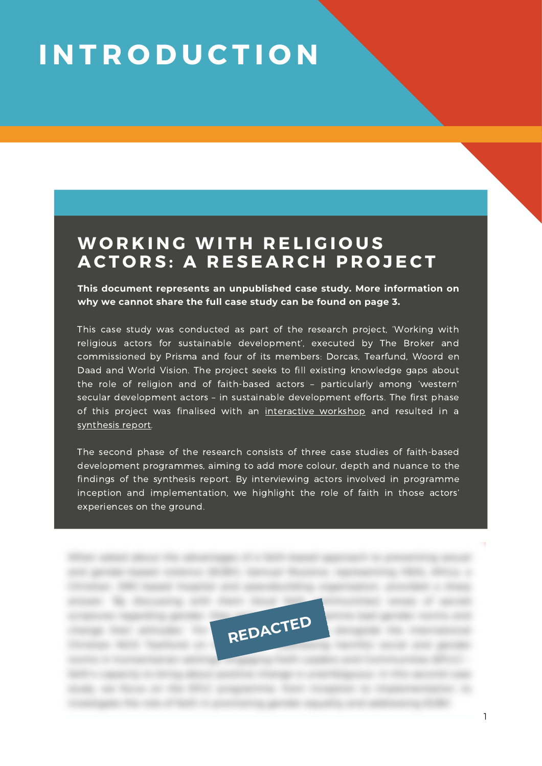# **I N T R O D U C T I O N**

# **WO R K IN G WI T H R E L I G IO U S A C T O R S : A R E S E A R C H P R O J E C T**

**This document represents an unpublished case study. More information on why we cannot share the full case study can be found on page 3.**

This case study was conducted as part of the research project, 'Working with religious actors for sustainable development', executed by The Broker and commissioned by Prisma and four of its members: Dorcas, Tearfund, Woord en Daad and World Vision. The project seeks to fill existing knowledge gaps about the role of religion and of faith-based actors – particularly among 'western' secular development actors – in sustainable development efforts. The first phase of this project was finalised with an [interactive](https://www.thebrokeronline.eu/in-conversation-working-with-faith-based-actors-for-development/) workshop and resulted in a [synthesis](https://www.thebrokeronline.eu/working-with-religious-actors-a-synthesis-report/) report.

The second phase of the research consists of three case studies of faith-based development programmes, aiming to add more colour, depth and nuance to the findings of the synthesis report. By interviewing actors involved in programme inception and implementation, we highlight the role of faith in those actors' experiences on the ground.

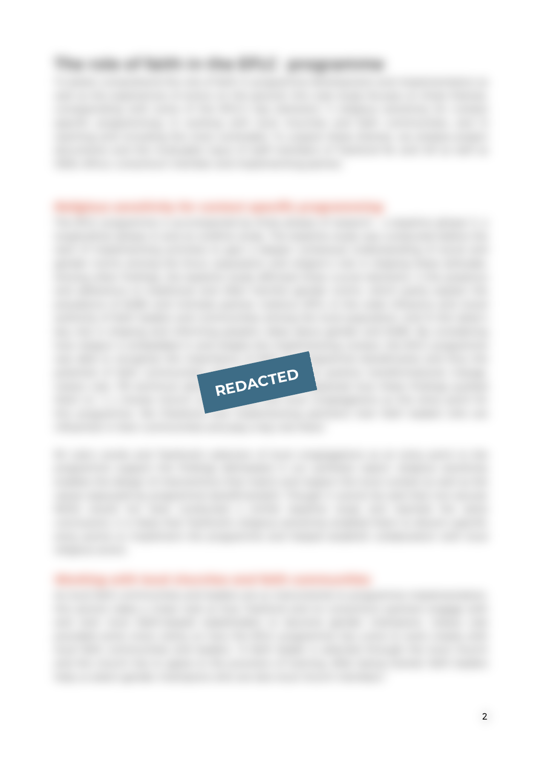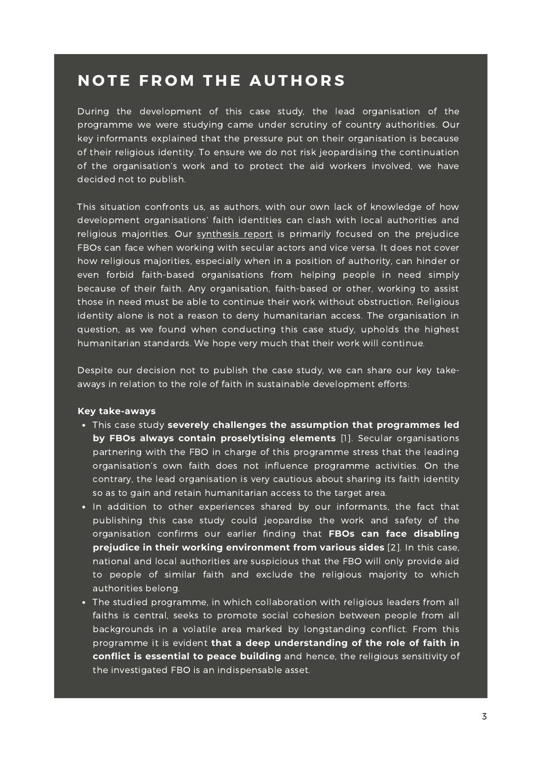# **NOTE FROM THE AUTHORS**

During the development of this case study, the lead organisation of the programme we were studying came under scrutiny of country authorities. Our key informants explained that the pressure put on their organisation is because of their religious identity. To ensure we do not risk jeopardising the continuation of the organisation's work and to protect the aid workers involved, we have decided not to publish.

This situation confronts us, as authors, with our own lack of knowledge of how development organisations' faith identities can clash with local authorities and religious majorities. Our [synthesis](https://www.thebrokeronline.eu/working-with-religious-actors-a-synthesis-report/) report is primarily focused on the prejudice FBOs can face when working with secular actors and vice versa. It does not cover how religious majorities, especially when in a position of authority, can hinder or even forbid faith-based organisations from helping people in need simply because of their faith. Any organisation, faith-based or other, working to assist those in need must be able to continue their work without obstruction. Religious identity alone is not a reason to deny humanitarian access. The organisation in question, as we found when conducting this case study, upholds the highest humanitarian standards. We hope very much that their work will continue.

Despite our decision not to publish the case study, we can share our key takeaways in relation to the role of faith in sustainable development efforts:

#### **Key take-aways**

- This case study **severely challenges the assumption that programmes led by FBOs always contain proselytising elements** [1]. Secular organisations partnering with the FBO in charge of this programme stress that the leading organisation's own faith does not influence programme activities. On the contrary, the lead organisation is very cautious about sharing its faith identity so as to gain and retain humanitarian access to the target area.
- In addition to other experiences shared by our informants, the fact that publishing this case study could jeopardise the work and safety of the organisation confirms our earlier finding that **FBOs can face disabling prejudice in their working environment from various sides** [2]. In this case, national and local authorities are suspicious that the FBO will only provide aid to people of similar faith and exclude the religious majority to which authorities belong.
- The studied programme, in which collaboration with religious leaders from all faiths is central, seeks to promote social cohesion between people from all backgrounds in a volatile area marked by longstanding conflict. From this programme it is evident **that a deep understanding of the role of faith in conflict is essential to peace building** and hence, the religious sensitivity of the investigated FBO is an indispensable asset.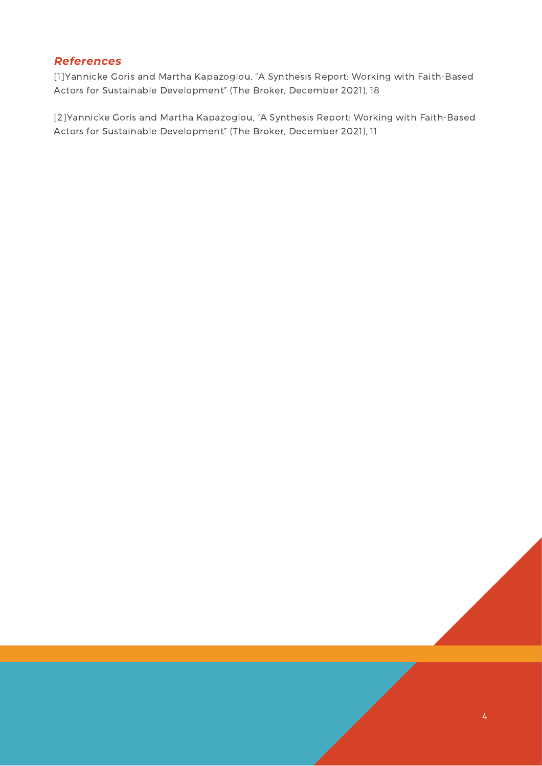## *References*

[1]Yannicke Goris and Martha Kapazoglou, "A Synthesis Report: Working with Faith-Based Actors for Sustainable Development" (The Broker, December 2021), 18

[2]Yannicke Goris and Martha Kapazoglou, "A Synthesis Report: Working with Faith-Based Actors for Sustainable Development" (The Broker, December 2021), 11

4